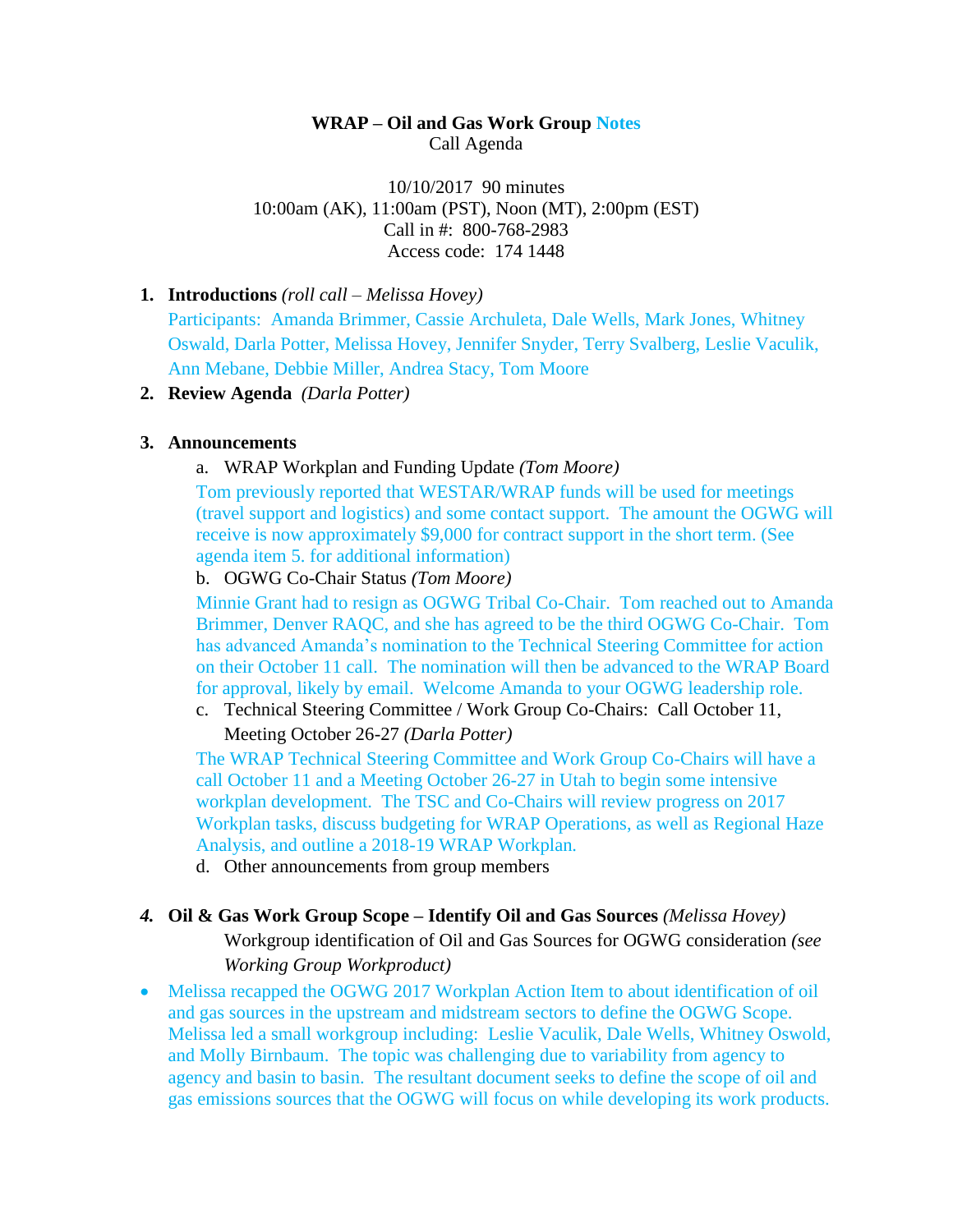### **WRAP – Oil and Gas Work Group Notes** Call Agenda

10/10/2017 90 minutes 10:00am (AK), 11:00am (PST), Noon (MT), 2:00pm (EST) Call in #: 800-768-2983 Access code: 174 1448

#### **1. Introductions** *(roll call – Melissa Hovey)*

Participants: Amanda Brimmer, Cassie Archuleta, Dale Wells, Mark Jones, Whitney Oswald, Darla Potter, Melissa Hovey, Jennifer Snyder, Terry Svalberg, Leslie Vaculik, Ann Mebane, Debbie Miller, Andrea Stacy, Tom Moore

#### **2. Review Agenda** *(Darla Potter)*

#### **3. Announcements**

### a. WRAP Workplan and Funding Update *(Tom Moore)*

Tom previously reported that WESTAR/WRAP funds will be used for meetings (travel support and logistics) and some contact support. The amount the OGWG will receive is now approximately \$9,000 for contract support in the short term. (See agenda item 5. for additional information)

#### b. OGWG Co-Chair Status *(Tom Moore)*

Minnie Grant had to resign as OGWG Tribal Co-Chair. Tom reached out to Amanda Brimmer, Denver RAQC, and she has agreed to be the third OGWG Co-Chair. Tom has advanced Amanda's nomination to the Technical Steering Committee for action on their October 11 call. The nomination will then be advanced to the WRAP Board for approval, likely by email. Welcome Amanda to your OGWG leadership role.

c. Technical Steering Committee / Work Group Co-Chairs: Call October 11,

Meeting October 26-27 *(Darla Potter)*

The WRAP Technical Steering Committee and Work Group Co-Chairs will have a call October 11 and a Meeting October 26-27 in Utah to begin some intensive workplan development. The TSC and Co-Chairs will review progress on 2017 Workplan tasks, discuss budgeting for WRAP Operations, as well as Regional Haze Analysis, and outline a 2018-19 WRAP Workplan.

d. Other announcements from group members

# *4.* **Oil & Gas Work Group Scope – Identify Oil and Gas Sources** *(Melissa Hovey)*

Workgroup identification of Oil and Gas Sources for OGWG consideration *(see Working Group Workproduct)*

 Melissa recapped the OGWG 2017 Workplan Action Item to about identification of oil and gas sources in the upstream and midstream sectors to define the OGWG Scope. Melissa led a small workgroup including: Leslie Vaculik, Dale Wells, Whitney Oswold, and Molly Birnbaum. The topic was challenging due to variability from agency to agency and basin to basin. The resultant document seeks to define the scope of oil and gas emissions sources that the OGWG will focus on while developing its work products.